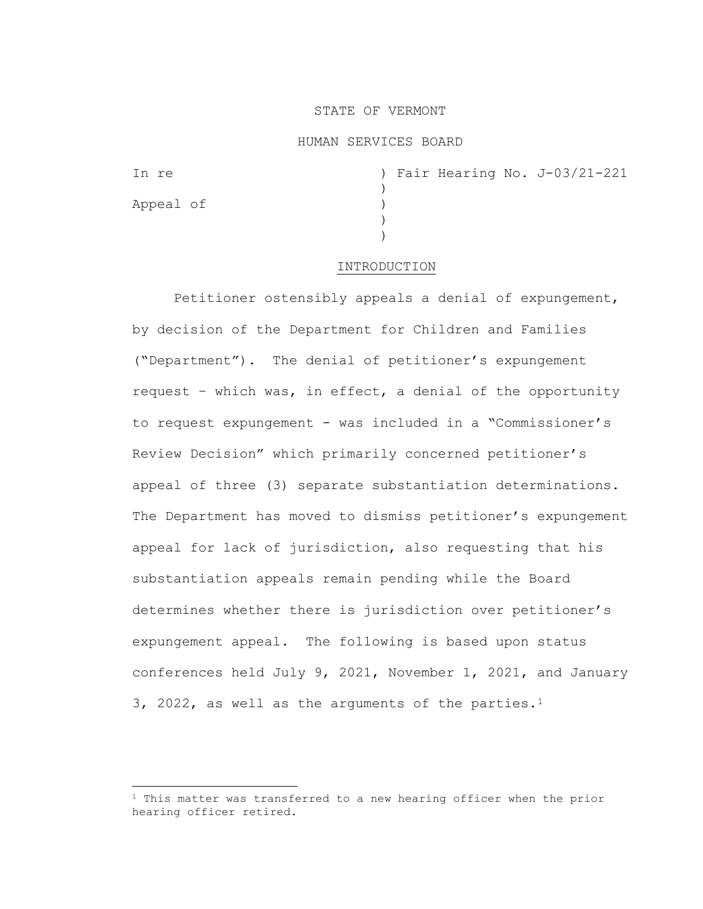# STATE OF VERMONT

# HUMAN SERVICES BOARD

Appeal of )

In re ) Fair Hearing No. J-03/21-221 )<br>) ) )

### INTRODUCTION

Petitioner ostensibly appeals a denial of expungement, by decision of the Department for Children and Families ("Department"). The denial of petitioner's expungement request – which was, in effect, a denial of the opportunity to request expungement - was included in a "Commissioner's Review Decision" which primarily concerned petitioner's appeal of three (3) separate substantiation determinations. The Department has moved to dismiss petitioner's expungement appeal for lack of jurisdiction, also requesting that his substantiation appeals remain pending while the Board determines whether there is jurisdiction over petitioner's expungement appeal. The following is based upon status conferences held July 9, 2021, November 1, 2021, and January 3, 2022, as well as the arguments of the parties.<sup>1</sup>

<span id="page-0-0"></span> $1$  This matter was transferred to a new hearing officer when the prior hearing officer retired.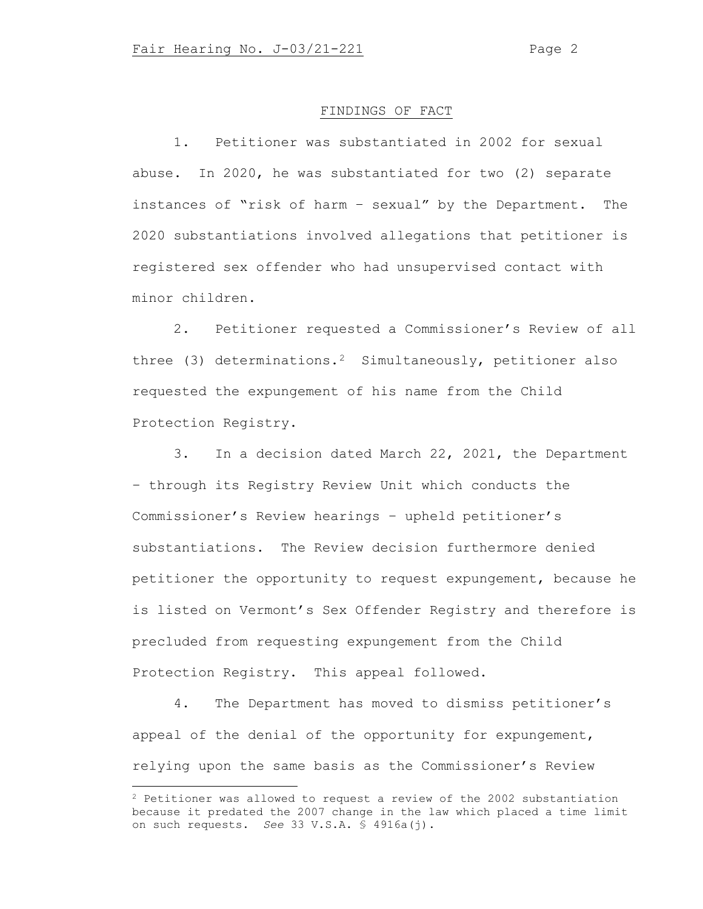#### FINDINGS OF FACT

1. Petitioner was substantiated in 2002 for sexual abuse. In 2020, he was substantiated for two (2) separate instances of "risk of harm – sexual" by the Department. The 2020 substantiations involved allegations that petitioner is registered sex offender who had unsupervised contact with minor children.

2. Petitioner requested a Commissioner's Review of all three (3) determinations.<sup>2</sup> Simultaneously, petitioner also requested the expungement of his name from the Child Protection Registry.

3. In a decision dated March 22, 2021, the Department – through its Registry Review Unit which conducts the Commissioner's Review hearings – upheld petitioner's substantiations. The Review decision furthermore denied petitioner the opportunity to request expungement, because he is listed on Vermont's Sex Offender Registry and therefore is precluded from requesting expungement from the Child Protection Registry. This appeal followed.

4. The Department has moved to dismiss petitioner's appeal of the denial of the opportunity for expungement, relying upon the same basis as the Commissioner's Review

<span id="page-1-0"></span><sup>2</sup> Petitioner was allowed to request a review of the 2002 substantiation because it predated the 2007 change in the law which placed a time limit on such requests. *See* 33 V.S.A. § 4916a(j).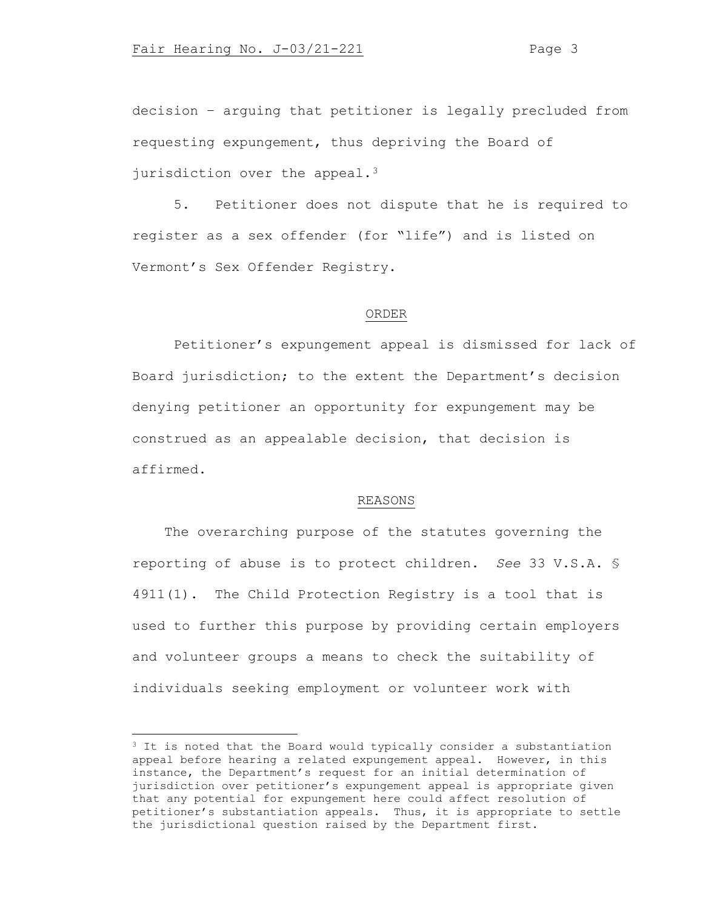decision – arguing that petitioner is legally precluded from requesting expungement, thus depriving the Board of jurisdiction over the appeal.<sup>3</sup>

5. Petitioner does not dispute that he is required to register as a sex offender (for "life") and is listed on Vermont's Sex Offender Registry.

#### ORDER

Petitioner's expungement appeal is dismissed for lack of Board jurisdiction; to the extent the Department's decision denying petitioner an opportunity for expungement may be construed as an appealable decision, that decision is affirmed.

# REASONS

The overarching purpose of the statutes governing the reporting of abuse is to protect children. *See* 33 V.S.A. § 4911(1). The Child Protection Registry is a tool that is used to further this purpose by providing certain employers and volunteer groups a means to check the suitability of individuals seeking employment or volunteer work with

<span id="page-2-0"></span><sup>&</sup>lt;sup>3</sup> It is noted that the Board would typically consider a substantiation appeal before hearing a related expungement appeal. However, in this instance, the Department's request for an initial determination of jurisdiction over petitioner's expungement appeal is appropriate given that any potential for expungement here could affect resolution of petitioner's substantiation appeals. Thus, it is appropriate to settle the jurisdictional question raised by the Department first.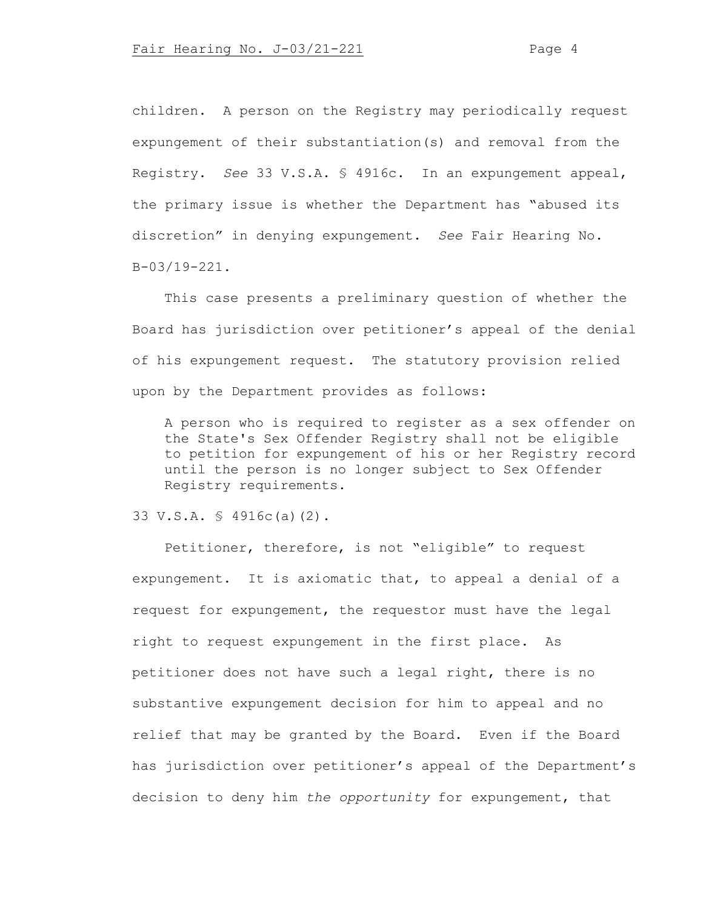children. A person on the Registry may periodically request expungement of their substantiation(s) and removal from the Registry. *See* 33 V.S.A. § 4916c. In an expungement appeal, the primary issue is whether the Department has "abused its discretion" in denying expungement. *See* Fair Hearing No. B-03/19-221.

This case presents a preliminary question of whether the Board has jurisdiction over petitioner's appeal of the denial of his expungement request. The statutory provision relied upon by the Department provides as follows:

A person who is required to register as a sex offender on the State's Sex Offender Registry shall not be eligible to petition for expungement of his or her Registry record until the person is no longer subject to Sex Offender Registry requirements.

### 33 V.S.A. § 4916c(a)(2).

Petitioner, therefore, is not "eligible" to request expungement. It is axiomatic that, to appeal a denial of a request for expungement, the requestor must have the legal right to request expungement in the first place. As petitioner does not have such a legal right, there is no substantive expungement decision for him to appeal and no relief that may be granted by the Board. Even if the Board has jurisdiction over petitioner's appeal of the Department's decision to deny him *the opportunity* for expungement, that